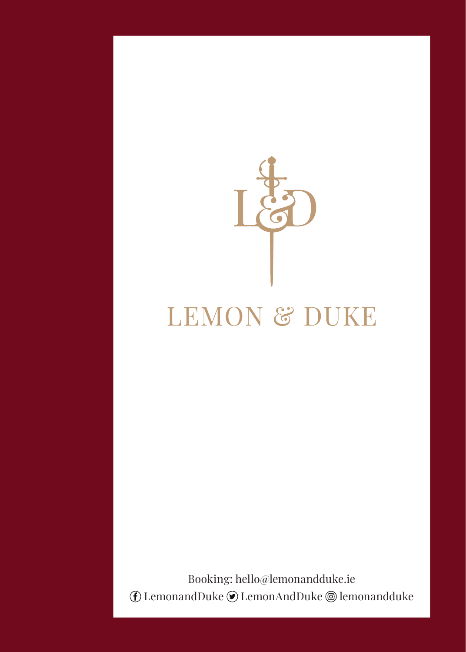

### **LEMON & DUKE**

Booking: hello@lemonandduke.ie  $(F)$  LemonandDuke  $\odot$  LemonAndDuke  $\odot$  lemonandduke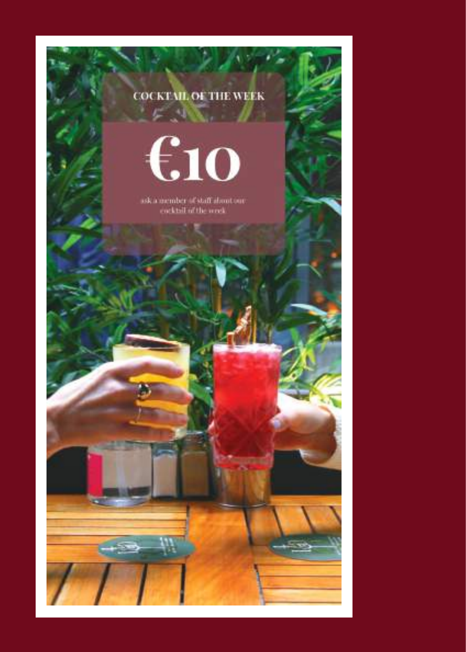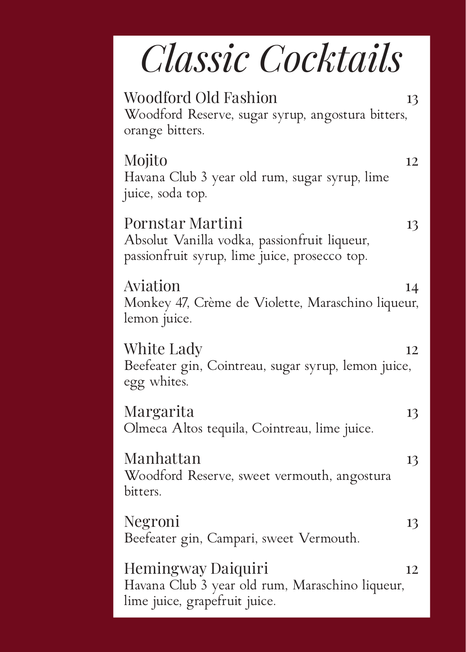# *Classic Cocktails*

| <b>Woodford Old Fashion</b><br>13<br>Woodford Reserve, sugar syrup, angostura bitters,<br>orange bitters.               |
|-------------------------------------------------------------------------------------------------------------------------|
| Mojito<br>12<br>Havana Club 3 year old rum, sugar syrup, lime<br>juice, soda top.                                       |
| Pornstar Martini<br>13<br>Absolut Vanilla vodka, passionfruit liqueur,<br>passionfruit syrup, lime juice, prosecco top. |
| Aviation<br>14<br>Monkey 47, Crème de Violette, Maraschino liqueur,<br>lemon juice.                                     |
| White Lady<br>12<br>Beefeater gin, Cointreau, sugar syrup, lemon juice,<br>egg whites.                                  |
| Margarita<br>13<br>Olmeca Altos tequila, Cointreau, lime juice.                                                         |
| Manhattan<br>13<br>Woodford Reserve, sweet vermouth, angostura<br>bitters.                                              |
| Negroni<br>13<br>Beefeater gin, Campari, sweet Vermouth.                                                                |
| Hemingway Daiquiri<br>12<br>Havana Club 3 year old rum, Maraschino liqueur,<br>lime juice, grapefruit juice.            |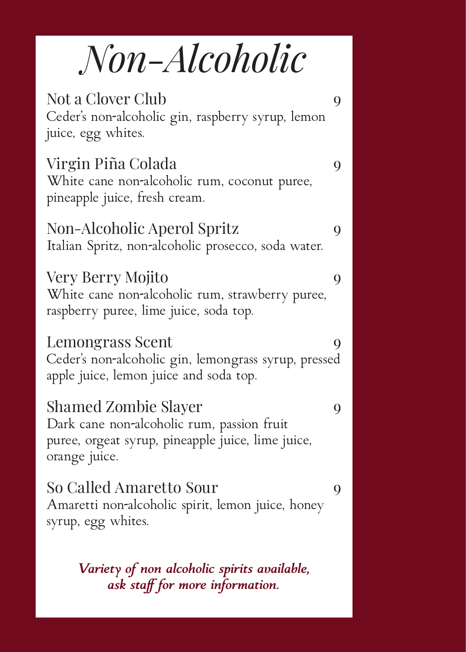## *Non-Alcoholic*

| Not a Clover Club<br>Ceder's non-alcoholic gin, raspberry syrup, lemon<br>juice, egg whites.                                                    | 9 |
|-------------------------------------------------------------------------------------------------------------------------------------------------|---|
| Virgin Piña Colada<br>White cane non-alcoholic rum, coconut puree,<br>pineapple juice, fresh cream.                                             | 9 |
| Non-Alcoholic Aperol Spritz<br>Italian Spritz, non-alcoholic prosecco, soda water.                                                              | 9 |
| Very Berry Mojito<br>White cane non-alcoholic rum, strawberry puree,<br>raspberry puree, lime juice, soda top.                                  | 9 |
| Lemongrass Scent<br>Ceder's non-alcoholic gin, lemongrass syrup, pressed<br>apple juice, lemon juice and soda top.                              | 9 |
| <b>Shamed Zombie Slayer</b><br>Dark cane non-alcoholic rum, passion fruit<br>puree, orgeat syrup, pineapple juice, lime juice,<br>orange juice. | 9 |
| So Called Amaretto Sour<br>Amaretti non-alcoholic spirit, lemon juice, honey<br>syrup, egg whites.                                              | 9 |
| Variety of non alcoholic spirits available,                                                                                                     |   |

*ask staff for more information.*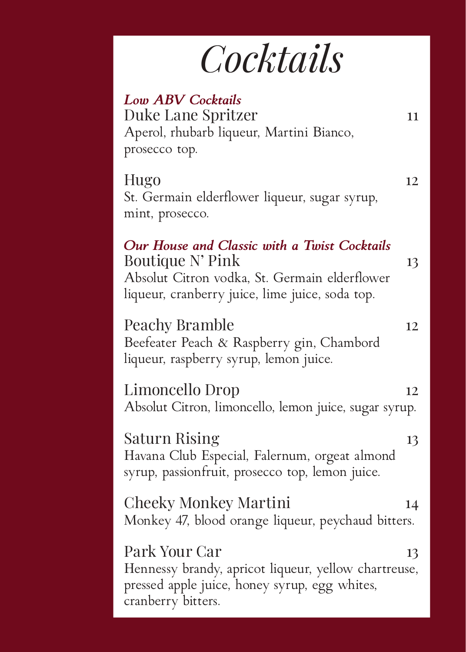# *Cocktails*

| <b>Low ABV Cocktails</b><br>Duke Lane Spritzer<br>11<br>Aperol, rhubarb liqueur, Martini Bianco,<br>prosecco top.                                                          |  |
|----------------------------------------------------------------------------------------------------------------------------------------------------------------------------|--|
| Hugo<br>12<br>St. Germain elderflower liqueur, sugar syrup,<br>mint, prosecco.                                                                                             |  |
| Our House and Classic with a Twist Cocktails<br>Boutique N' Pink<br>13<br>Absolut Citron vodka, St. Germain elderflower<br>liqueur, cranberry juice, lime juice, soda top. |  |
| Peachy Bramble<br>12<br>Beefeater Peach & Raspberry gin, Chambord<br>liqueur, raspberry syrup, lemon juice.                                                                |  |
| Limoncello Drop<br>12<br>Absolut Citron, limoncello, lemon juice, sugar syrup.                                                                                             |  |
| Saturn Rising<br>13<br>Havana Club Especial, Falernum, orgeat almond<br>syrup, passionfruit, prosecco top, lemon juice.                                                    |  |
| Cheeky Monkey Martini<br>14<br>Monkey 47, blood orange liqueur, peychaud bitters.                                                                                          |  |
| Park Your Car<br>13<br>Hennessy brandy, apricot liqueur, yellow chartreuse,<br>pressed apple juice, honey syrup, egg whites,<br>cranberry bitters.                         |  |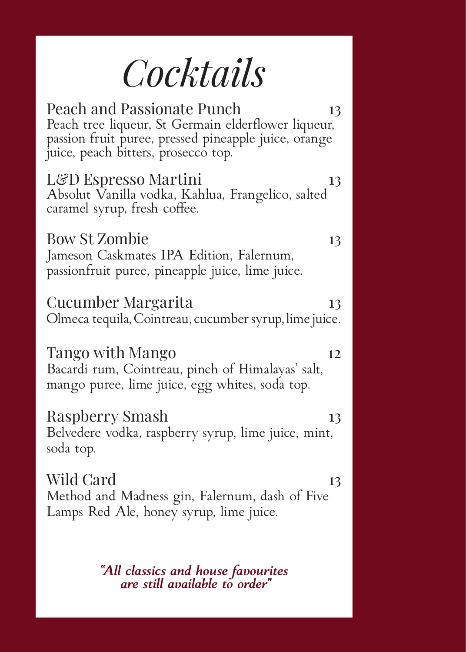### *Cocktails*

Peach and Passionate Punch 13 Peach tree liqueur, St Germain elderflower liqueur, passion fruit puree, pressed pineapple juice, orange juice, peach bitters, prosecco top. L&D Espresso Martini 13 Absolut Vanilla vodka, Kahlua, Frangelico, salted caramel syrup, fresh coffee. Bow St Zombie 13 Jameson Caskmates IPA Edition, Falernum, passionfruit puree, pineapple juice, lime juice. Cucumber Margarita 13 Olmeca tequila, Cointreau, cucumber syrup, lime juice. Tango with Mango 12 Bacardi rum, Cointreau, pinch of Himalayas' salt, mango puree, lime juice, egg whites, soda top. Raspberry Smash 13 Belvedere vodka, raspberry syrup, lime juice, mint, soda top. Wild Card 13 Method and Madness gin, Falernum, dash of Five Lamps Red Ale, honey syrup, lime juice.

*"All classics and house favourites are still available to order"*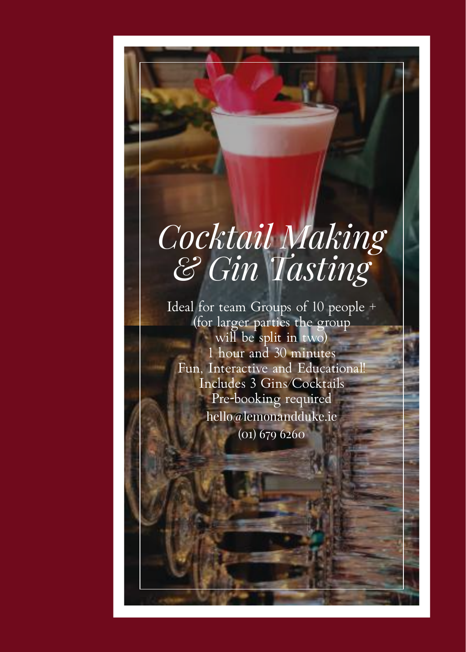### *Cocktail Making & Gin Tasting*

Ideal for team Groups of 10 people + (for larger parties the group will be split in two) 1 hour and 30 minutes Fun, Interactive and Educational! Includes 3 Gins/Cocktails Pre-booking required hello@lemonandduke.ie (01) 679 6260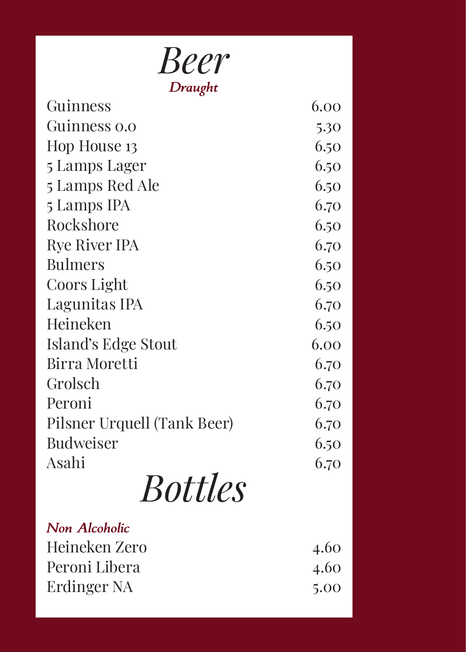| <b>Beer</b>                 |      |
|-----------------------------|------|
| Draught<br>Guinness         | 6.00 |
| Guinness 0.0                | 5.30 |
| Hop House 13                | 6.50 |
| 5 Lamps Lager               | 6.50 |
| 5 Lamps Red Ale             | 6.50 |
| 5 Lamps IPA                 | 6.70 |
| Rockshore                   | 6.50 |
| <b>Rye River IPA</b>        | 6.70 |
| <b>Bulmers</b>              | 6.50 |
| Coors Light                 | 6.50 |
| Lagunitas IPA               | 6.70 |
| Heineken                    | 6.50 |
| Island's Edge Stout         | 6.00 |
| <b>Birra Moretti</b>        | 6.70 |
| Grolsch                     | 6.70 |
| Peroni                      | 6.70 |
| Pilsner Urquell (Tank Beer) | 6.70 |
| <b>Budweiser</b>            | 6.50 |
| Asahi                       | 6.70 |
| <b>Bottles</b>              |      |
| <b>Non Alcoholic</b>        |      |
| Heineken Zero               | 4.60 |
| Peroni Libera               | 4.60 |
| Erdinger NA                 | 5.00 |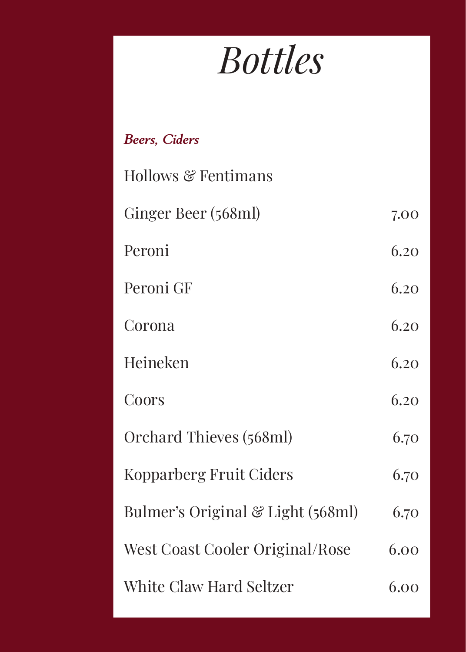# *Bottles*

| <b>Beers, Ciders</b>                         |      |
|----------------------------------------------|------|
| Hollows & Fentimans                          |      |
| Ginger Beer (568ml)                          | 7.00 |
| Peroni                                       | 6.20 |
| Peroni GF                                    | 6.20 |
| Corona                                       | 6.20 |
| Heineken                                     | 6.20 |
| Coors                                        | 6.20 |
| Orchard Thieves (568ml)                      | 6.70 |
| Kopparberg Fruit Ciders                      | 6.70 |
| Bulmer's Original $\mathcal G$ Light (568ml) | 6.70 |
| West Coast Cooler Original/Rose              | 6.00 |
| White Claw Hard Seltzer                      | 6.00 |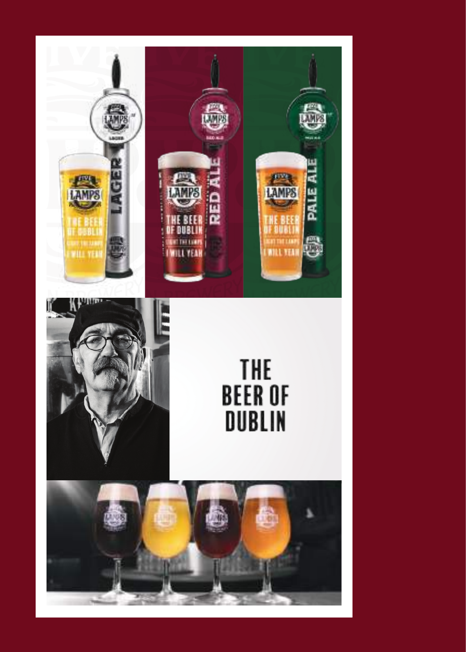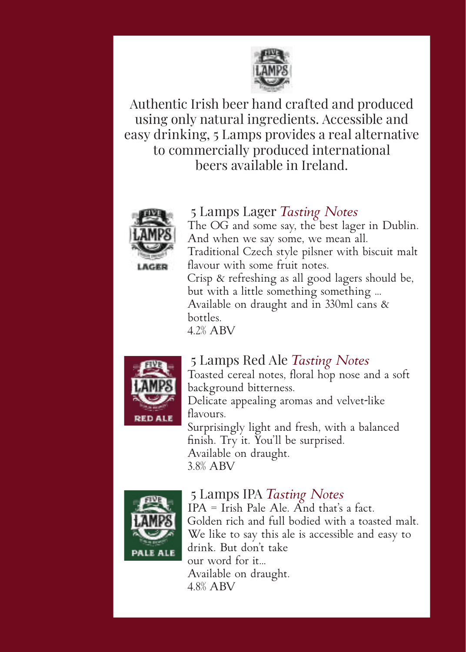

Authentic Irish beer hand crafted and produced using only natural ingredients. Accessible and easy drinking, 5 Lamps provides a real alternative to commercially produced international beers available in Ireland.



 5 Lamps Lager *Tasting Notes* The OG and some say, the best lager in Dublin. The OG and some say, the best lager<br>And when we say some, we mean all. Traditional Czech style pilsner with biscuit malt flavour with some fruit notes. Crisp & refreshing as all good lagers should be, but with a little something something ... Available on draught and in 330ml cans  $\&$ bottles.

 $4.2\%$   $ABV$ 



#### **FIVER** 5 Lamps Red Ale *Tasting Notes*

 $\frac{1}{\sqrt{2}}$  Toasted cereal notes, floral hop nose and a soft LAMPS background bitterness.

Delicate appealing aromas and velvet-like flavours.

Surprisingly light and fresh, with a balanced finish. Try it. You'll be surprised. Available on draught. 3.8% ABV



### **FINE BEAR** ISLAMPS IPA *Tasting Notes*

IPA = Irish Pale Ale. And that's a fact. Golden rich and full bodied with a toasted malt.  $\sqrt{a}$  We like to say this ale is accessible and easy to drink. But don't take our word for it... Available on draught.  $4.8\%$  ABV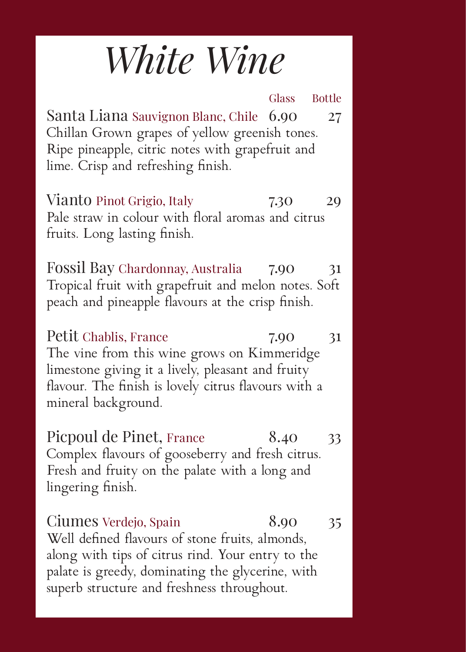### *White Wine*

Glass Bottle Santa Liana Sauvignon Blanc, Chile 6.90 27 Chillan Grown grapes of yellow greenish tones. Ripe pineapple, citric notes with grapefruit and lime. Crisp and refreshing finish. Vianto Pinot Grigio, Italy 7.30 29

Pale straw in colour with floral aromas and citrus fruits. Long lasting finish.

Fossil Bay Chardonnay, Australia 7.90 31 Tropical fruit with grapefruit and melon notes. Soft peach and pineapple flavours at the crisp finish.

Petit Chablis, France 7.90 31 The vine from this wine grows on Kimmeridge limestone giving it a lively, pleasant and fruity flavour. The finish is lovely citrus flavours with a mineral background.

Picpoul de Pinet, France 8.40 33 Complex flavours of gooseberry and fresh citrus. Fresh and fruity on the palate with a long and lingering finish.

Ciumes Verdejo, Spain 8.90 35 Well defined flavours of stone fruits, almonds, along with tips of citrus rind. Your entry to the palate is greedy, dominating the glycerine, with superb structure and freshness throughout.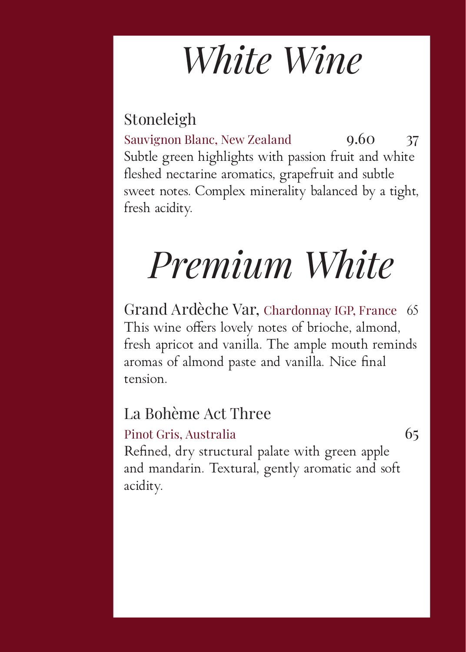## *White Wine*

### Stoneleigh

Sauvignon Blanc, New Zealand 9.60 37 Subtle green highlights with passion fruit and white fleshed nectarine aromatics, grapefruit and subtle sweet notes. Complex minerality balanced by a tight, fresh acidity.

## *Premium White*

Grand Ardèche Var, Chardonnay IGP, France 65 This wine offers lovely notes of brioche, almond, fresh apricot and vanilla. The ample mouth reminds aromas of almond paste and vanilla. Nice final tension.

### La Bohème Act Three

#### Pinot Gris, Australia 65

Refined, dry structural palate with green apple and mandarin. Textural, gently aromatic and soft acidity.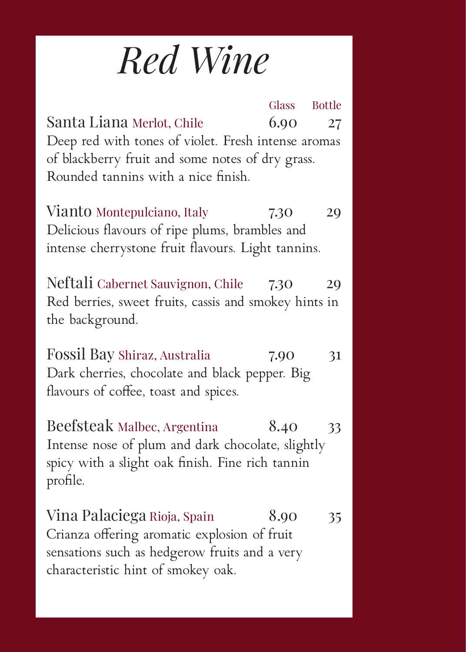## *Red Wine*

Glass Bottle Santa Liana Merlot, Chile 6.90 27 Deep red with tones of violet. Fresh intense aromas of blackberry fruit and some notes of dry grass. Rounded tannins with a nice finish. Vianto Montepulciano, Italy 7.30 29 Delicious flavours of ripe plums, brambles and intense cherrystone fruit flavours. Light tannins. Neftali Cabernet Sauvignon, Chile 7.30 29 Red berries, sweet fruits, cassis and smokey hints in the background. Fossil Bay Shiraz, Australia 7.90 31 Dark cherries, chocolate and black pepper. Big flavours of coffee, toast and spices. Beefsteak Malbec, Argentina 8.40 33 Intense nose of plum and dark chocolate, slightly spicy with a slight oak finish. Fine rich tannin

profile. Vina Palaciega Rioja, Spain 8.90 35 Crianza offering aromatic explosion of fruit sensations such as hedgerow fruits and a very characteristic hint of smokey oak.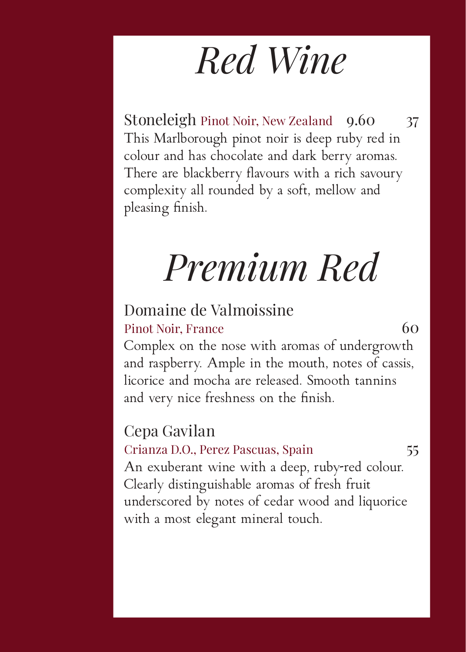### *Red Wine*

Stoneleigh Pinot Noir, New Zealand 9.60 37 This Marlborough pinot noir is deep ruby red in colour and has chocolate and dark berry aromas. There are blackberry flavours with a rich savoury complexity all rounded by a soft, mellow and pleasing finish.

## *Premium Red*

### Domaine de Valmoissine

#### Pinot Noir, France 60

Complex on the nose with aromas of undergrowth and raspberry. Ample in the mouth, notes of cassis, licorice and mocha are released. Smooth tannins and very nice freshness on the finish.

### Cepa Gavilan

#### Crianza D.O., Perez Pascuas, Spain 55

An exuberant wine with a deep, ruby-red colour. Clearly distinguishable aromas of fresh fruit underscored by notes of cedar wood and liquorice with a most elegant mineral touch.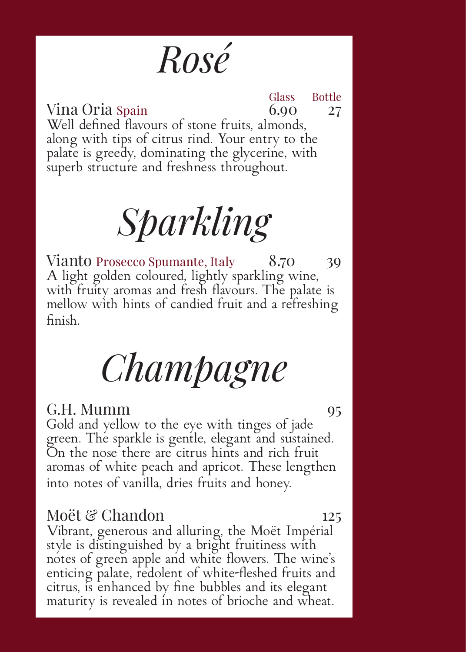### *Rosé*

Glass Bottle Vina Oria Spain 6.90 27 Well defined flavours of stone fruits, almonds, along with tips of citrus rind. Your entry to the palate is greedy, dominating the glycerine, with superb structure and freshness throughout.

*Sparkling* 

Vianto Prosecco Spumante, Italy 8.70 39 A light golden coloured, lightly sparkling wine, with fruity aromas and fresh flavours. The palate is mellow with hints of candied fruit and a refreshing finish.

### *Champagne*

#### G.H. Mumm 95

Gold and yellow to the eye with tinges of jade green. The sparkle is gentle, elegant and sustained. On the nose there are citrus hints and rich fruit aromas of white peach and apricot. These lengthen into notes of vanilla, dries fruits and honey.

#### Moët & Chandon 125

Vibrant, generous and alluring, the Moët Impérial style is distinguished by a bright fruitiness with notes of green apple and white flowers. The wine's enticing palate, redolent of white-fleshed fruits and citrus, is enhanced by fine bubbles and its elegant maturity is revealed in notes of brioche and wheat.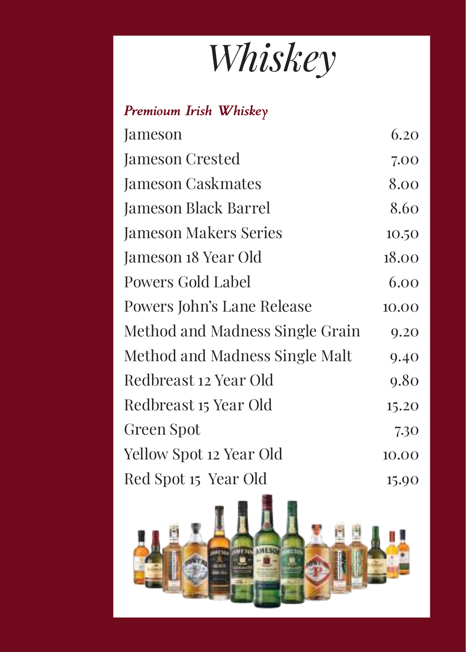*Whiskey*

*Premioum Irish Whiskey*

| Jameson                         | 6.20  |
|---------------------------------|-------|
| Jameson Crested                 | 7.00  |
| <b>Jameson Caskmates</b>        | 8.00  |
| Jameson Black Barrel            | 8.60  |
| <b>Jameson Makers Series</b>    | 10.50 |
| Jameson 18 Year Old             | 18.00 |
| <b>Powers Gold Label</b>        | 6.00  |
| Powers John's Lane Release      | 10.00 |
| Method and Madness Single Grain | 9.20  |
| Method and Madness Single Malt  | 9.40  |
| Redbreast 12 Year Old           | 9.80  |
| Redbreast 15 Year Old           | 15.20 |
| Green Spot                      | 7.30  |
| Yellow Spot 12 Year Old         | 10.00 |
| Red Spot 15 Year Old            | 15.90 |

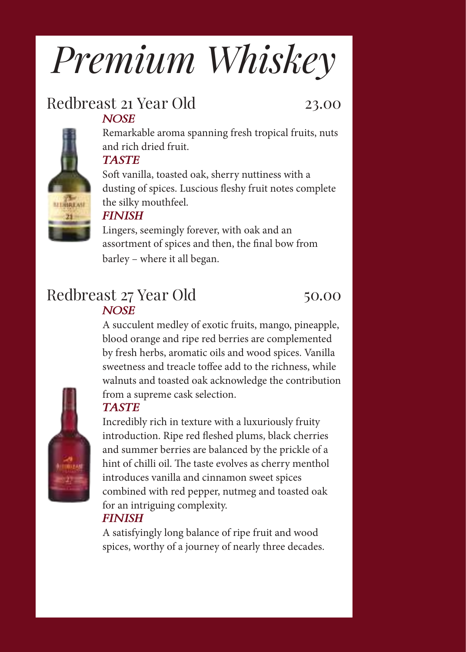# *Premium Whiskey*

#### Redbreast 21 Year Old 23.00 *NOSE*

Remarkable aroma spanning fresh tropical fruits, nuts and rich dried fruit.

#### *TASTE*

Soft vanilla, toasted oak, sherry nuttiness with a dusting of spices. Luscious fleshy fruit notes complete the silky mouthfeel.

#### *FINISH*

Lingers, seemingly forever, with oak and an assortment of spices and then, the final bow from barley – where it all began.

#### Redbreast 27 Year Old 50.00 *NOSE*

A succulent medley of exotic fruits, mango, pineapple, blood orange and ripe red berries are complemented by fresh herbs, aromatic oils and wood spices. Vanilla sweetness and treacle toffee add to the richness, while walnuts and toasted oak acknowledge the contribution from a supreme cask selection.



#### *TASTE*

Incredibly rich in texture with a luxuriously fruity introduction. Ripe red fleshed plums, black cherries and summer berries are balanced by the prickle of a hint of chilli oil. The taste evolves as cherry menthol introduces vanilla and cinnamon sweet spices combined with red pepper, nutmeg and toasted oak for an intriguing complexity.

#### *FINISH*

A satisfyingly long balance of ripe fruit and wood spices, worthy of a journey of nearly three decades.

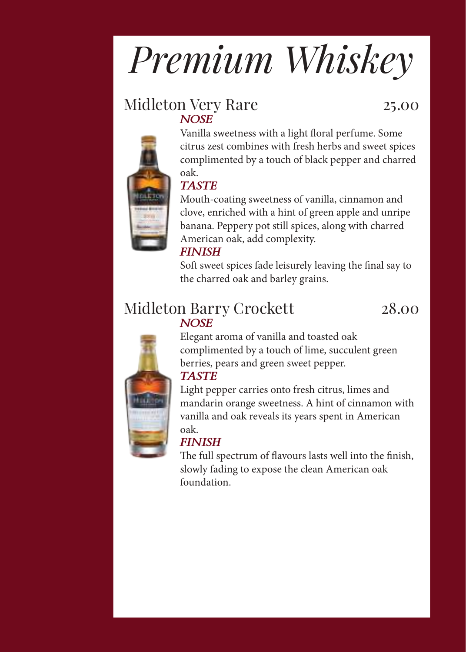# *Premium Whiskey*

#### Midleton Very Rare 25.00 *NOSE*



Vanilla sweetness with a light floral perfume. Some citrus zest combines with fresh herbs and sweet spices complimented by a touch of black pepper and charred oak.

#### *TASTE*

Mouth-coating sweetness of vanilla, cinnamon and clove, enriched with a hint of green apple and unripe banana. Peppery pot still spices, along with charred American oak, add complexity.

#### *FINISH*

Soft sweet spices fade leisurely leaving the final say to the charred oak and barley grains.

#### Midleton Barry Crockett 28.00 *NOSE*



Elegant aroma of vanilla and toasted oak complimented by a touch of lime, succulent green berries, pears and green sweet pepper. *TASTE*

Light pepper carries onto fresh citrus, limes and mandarin orange sweetness. A hint of cinnamon with vanilla and oak reveals its years spent in American oak.

#### *FINISH*

The full spectrum of flavours lasts well into the finish, slowly fading to expose the clean American oak foundation.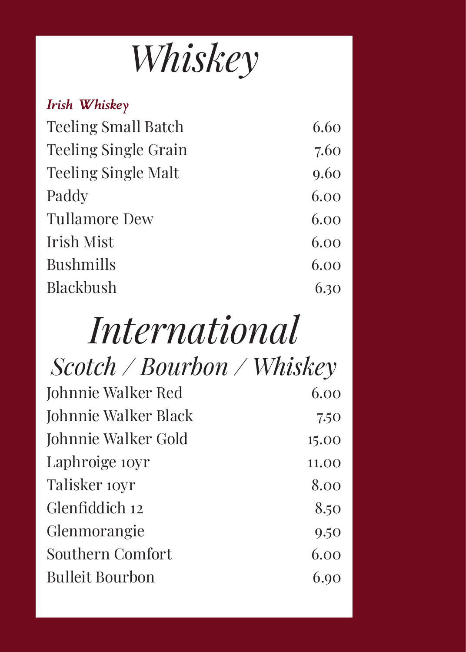### *Whiskey*

| Irish Whiskey               |      |
|-----------------------------|------|
| <b>Teeling Small Batch</b>  | 6.60 |
| <b>Teeling Single Grain</b> | 7.60 |
| <b>Teeling Single Malt</b>  | 9.60 |
| Paddy                       | 6.00 |
| <b>Tullamore Dew</b>        | 6.00 |
| Irish Mist                  | 6.00 |
| <b>Bushmills</b>            | 6.00 |
| <b>Blackbush</b>            | 6.30 |
|                             |      |

## *International*

| $\textit{Scottch} \, / \, \textit{Bourbon} \, / \, \textit{Whiskey}$ |       |
|----------------------------------------------------------------------|-------|
| Johnnie Walker Red                                                   | 6.00  |
| Johnnie Walker Black                                                 | 7.50  |
| Johnnie Walker Gold                                                  | 15.00 |
| Laphroige <i>soyr</i>                                                | 11.00 |
| Talisker <i>toyr</i>                                                 | 8.00  |
| Glenfiddich 12                                                       | 8.50  |
| Glenmorangie                                                         | 9.50  |
| Southern Comfort                                                     | 6.00  |
| <b>Bulleit Bourbon</b>                                               | 6.90  |
|                                                                      |       |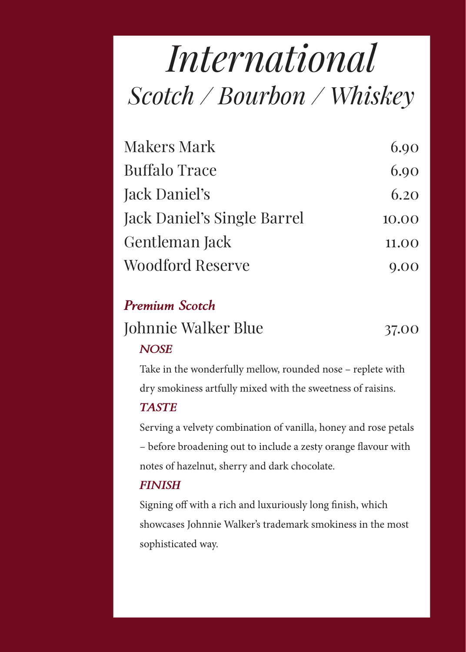### *International Scotch / Bourbon / Whiskey*

| <b>Makers Mark</b>          | 6.90  |
|-----------------------------|-------|
| <b>Buffalo Trace</b>        | 6.90  |
| Jack Daniel's               | 6.20  |
| Jack Daniel's Single Barrel | 10.00 |
| Gentleman Jack              | 11.00 |
| Woodford Reserve            | 9.00  |

#### *Premium Scotch*

### Johnnie Walker Blue 37.00 *NOSE*

Take in the wonderfully mellow, rounded nose – replete with dry smokiness artfully mixed with the sweetness of raisins.

#### *TASTE*

Serving a velvety combination of vanilla, honey and rose petals – before broadening out to include a zesty orange flavour with notes of hazelnut, sherry and dark chocolate.

#### *FINISH*

Signing off with a rich and luxuriously long finish, which showcases Johnnie Walker's trademark smokiness in the most sophisticated way.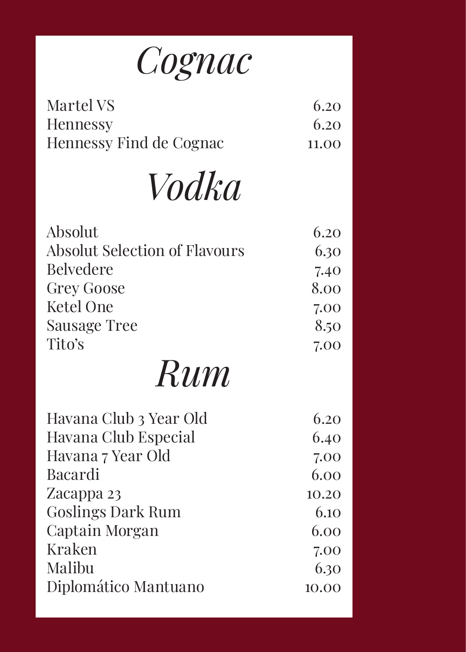

| Martel VS               | 6.20  |
|-------------------------|-------|
| <b>Hennessy</b>         | 6.20  |
| Hennessy Find de Cognac | 11.00 |

*Vodka*

| Absolut                       | 6.20  |
|-------------------------------|-------|
| Absolut Selection of Flavours | 6.30  |
| <b>Belvedere</b>              | 7.40  |
| <b>Grey Goose</b>             | 8.00  |
| <b>Ketel One</b>              | 7.00  |
| Sausage Tree                  | 8.50  |
| Tito's                        | 7.00  |
| Rum                           |       |
| Havana Club 3 Year Old        | 6.20  |
| Havana Club Especial          | 6.40  |
| Havana 7 Year Old             | 7.00  |
| Bacardi                       | 6.00  |
| Zacappa 23                    | 10.20 |
| <b>Goslings Dark Rum</b>      | 6.10  |
| Captain Morgan                | 6.00  |
| Kraken                        | 7.00  |
| Malibu                        | 6.30  |
| Diplomático Mantuano          | 10.00 |
|                               |       |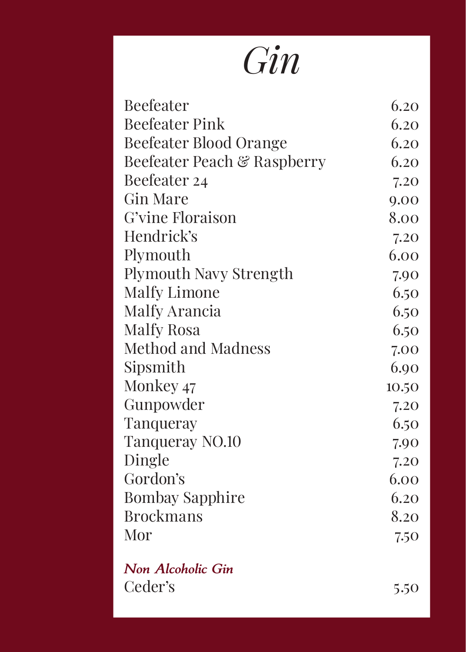## *Gin*

| Beefeater                     | 6.20  |
|-------------------------------|-------|
| <b>Beefeater Pink</b>         | 6.20  |
| <b>Beefeater Blood Orange</b> | 6.20  |
| Beefeater Peach & Raspberry   | 6.20  |
| Beefeater 24                  | 7.20  |
| <b>Gin Mare</b>               | 9.00  |
| G'vine Floraison              | 8.00  |
| Hendrick's                    | 7.20  |
| Plymouth                      | 6.00  |
| Plymouth Navy Strength        | 7.90  |
| <b>Malfy Limone</b>           | 6.50  |
| Malfy Arancia                 | 6.50  |
| Malfy Rosa                    | 6.50  |
| <b>Method and Madness</b>     | 7.00  |
| Sipsmith                      | 6.90  |
| Monkey 47                     | 10.50 |
| Gunpowder                     | 7.20  |
| Tanqueray                     | 6.50  |
| Tanqueray NO.10               | 7.90  |
| Dingle                        | 7.20  |
| Gordon's                      | 6.00  |
| <b>Bombay Sapphire</b>        | 6.20  |
| <b>Brockmans</b>              | 8.20  |
| Mor                           | 7.50  |
|                               |       |

*Non Alcoholic Gin* Ceder's 5.50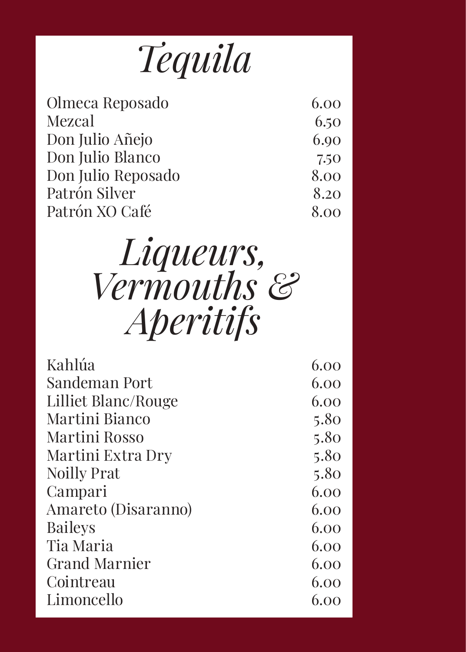| Tequila |  |
|---------|--|
|         |  |

| Olmeca Reposado    | 6.00 |
|--------------------|------|
| Mezcal             | 6.50 |
| Don Julio Añejo    | 6.90 |
| Don Julio Blanco   | 7.50 |
| Don Julio Reposado | 8.00 |
| Patrón Silver      | 8.20 |
| Patrón XO Café     | 8.00 |
|                    |      |

### *Liqueurs, Vermouths & Aperitifs*

| Kahlúa               | 6.00 |
|----------------------|------|
| Sandeman Port        | 6.00 |
| Lilliet Blanc/Rouge  | 6.00 |
| Martini Bianco       | 5.80 |
| Martini Rosso        | 5.80 |
| Martini Extra Dry    | 5.80 |
| <b>Noilly Prat</b>   | 5.80 |
| Campari              | 6.00 |
| Amareto (Disaranno)  | 6.00 |
| <b>Baileys</b>       | 6.00 |
| Tia Maria            | 6.00 |
| <b>Grand Marnier</b> | 6.00 |
| Cointreau            | 6.00 |
| Limoncello           | 6.00 |
|                      |      |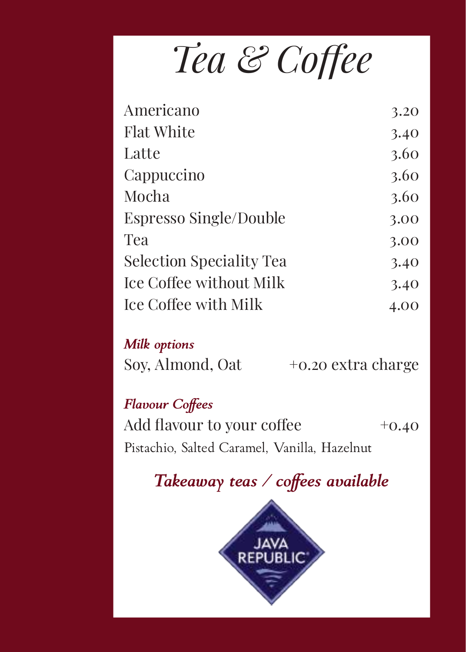*Tea & Coffee* 

| Americano                       | 3.20 |
|---------------------------------|------|
| <b>Flat White</b>               | 3.40 |
| Latte                           | 3.60 |
| Cappuccino                      | 3.60 |
| Mocha                           | 3.60 |
| Espresso Single/Double          | 3.00 |
| Tea                             | 3.00 |
| <b>Selection Speciality Tea</b> | 3.40 |
| Ice Coffee without Milk         | 3.40 |
| Ice Coffee with Milk            | 4.00 |
|                                 |      |

#### *Milk options*

Soy, Almond, Oat  $+0.20$  extra charge

#### *Flavour Coffees*

Add flavour to your coffee  $+0.40$ Pistachio, Salted Caramel, Vanilla, Hazelnut

### *Takeaway teas / coffees available*